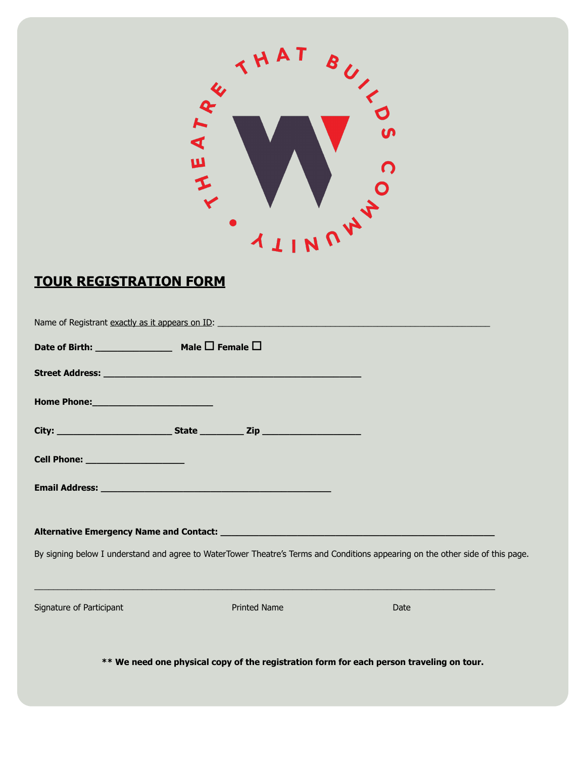

## **TOUR REGISTRATION FORM**

|                                   | Street Address: National Address: National Address: National Address: National Address: National Address: National Address: National Address: National Address: National Address: National Address: National Address: National |                                                                                                                                |  |
|-----------------------------------|--------------------------------------------------------------------------------------------------------------------------------------------------------------------------------------------------------------------------------|--------------------------------------------------------------------------------------------------------------------------------|--|
|                                   |                                                                                                                                                                                                                                |                                                                                                                                |  |
|                                   |                                                                                                                                                                                                                                |                                                                                                                                |  |
| Cell Phone: _____________________ |                                                                                                                                                                                                                                |                                                                                                                                |  |
|                                   |                                                                                                                                                                                                                                |                                                                                                                                |  |
|                                   |                                                                                                                                                                                                                                |                                                                                                                                |  |
|                                   |                                                                                                                                                                                                                                | By signing below I understand and agree to WaterTower Theatre's Terms and Conditions appearing on the other side of this page. |  |
|                                   |                                                                                                                                                                                                                                |                                                                                                                                |  |
| Signature of Participant          | <b>Printed Name</b>                                                                                                                                                                                                            | Date                                                                                                                           |  |

**\*\* We need one physical copy of the registration form for each person traveling on tour.**